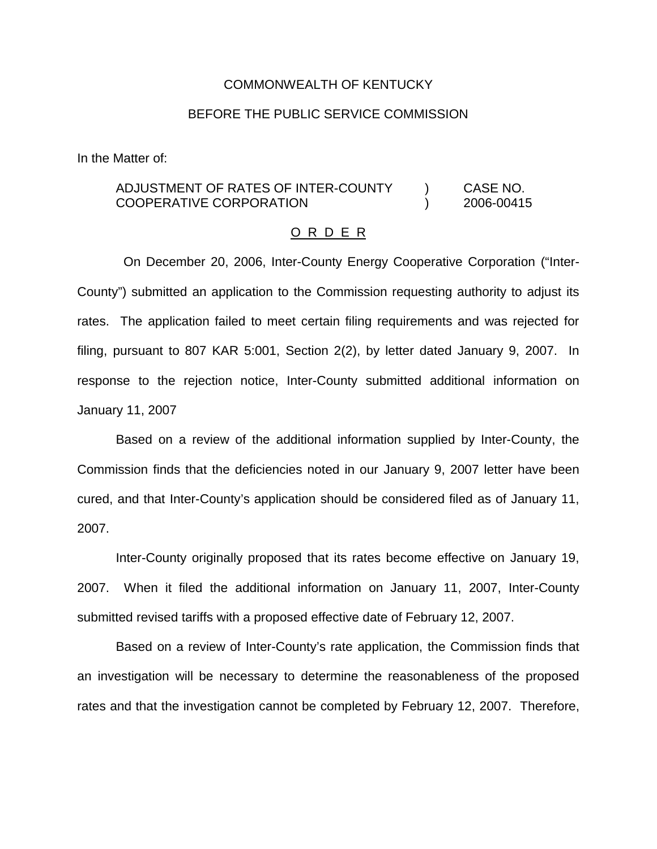### COMMONWEALTH OF KENTUCKY

### BEFORE THE PUBLIC SERVICE COMMISSION

In the Matter of:

## ADJUSTMENT OF RATES OF INTER-COUNTY ) CASE NO. COOPERATIVE CORPORATION ) 2006-00415

#### O R D E R

On December 20, 2006, Inter-County Energy Cooperative Corporation ("Inter-County") submitted an application to the Commission requesting authority to adjust its rates. The application failed to meet certain filing requirements and was rejected for filing, pursuant to 807 KAR 5:001, Section 2(2), by letter dated January 9, 2007. In response to the rejection notice, Inter-County submitted additional information on January 11, 2007

Based on a review of the additional information supplied by Inter-County, the Commission finds that the deficiencies noted in our January 9, 2007 letter have been cured, and that Inter-County's application should be considered filed as of January 11, 2007.

Inter-County originally proposed that its rates become effective on January 19, 2007. When it filed the additional information on January 11, 2007, Inter-County submitted revised tariffs with a proposed effective date of February 12, 2007.

Based on a review of Inter-County's rate application, the Commission finds that an investigation will be necessary to determine the reasonableness of the proposed rates and that the investigation cannot be completed by February 12, 2007. Therefore,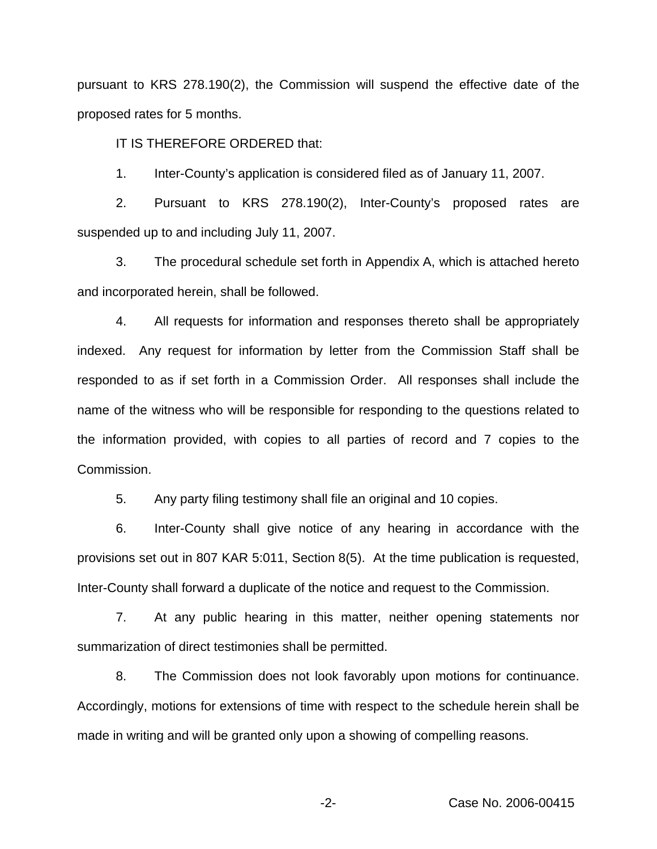pursuant to KRS 278.190(2), the Commission will suspend the effective date of the proposed rates for 5 months.

IT IS THEREFORE ORDERED that:

1. Inter-County's application is considered filed as of January 11, 2007.

2. Pursuant to KRS 278.190(2), Inter-County's proposed rates are suspended up to and including July 11, 2007.

3. The procedural schedule set forth in Appendix A, which is attached hereto and incorporated herein, shall be followed.

4. All requests for information and responses thereto shall be appropriately indexed. Any request for information by letter from the Commission Staff shall be responded to as if set forth in a Commission Order. All responses shall include the name of the witness who will be responsible for responding to the questions related to the information provided, with copies to all parties of record and 7 copies to the Commission.

5. Any party filing testimony shall file an original and 10 copies.

6. Inter-County shall give notice of any hearing in accordance with the provisions set out in 807 KAR 5:011, Section 8(5). At the time publication is requested, Inter-County shall forward a duplicate of the notice and request to the Commission.

7. At any public hearing in this matter, neither opening statements nor summarization of direct testimonies shall be permitted.

8. The Commission does not look favorably upon motions for continuance. Accordingly, motions for extensions of time with respect to the schedule herein shall be made in writing and will be granted only upon a showing of compelling reasons.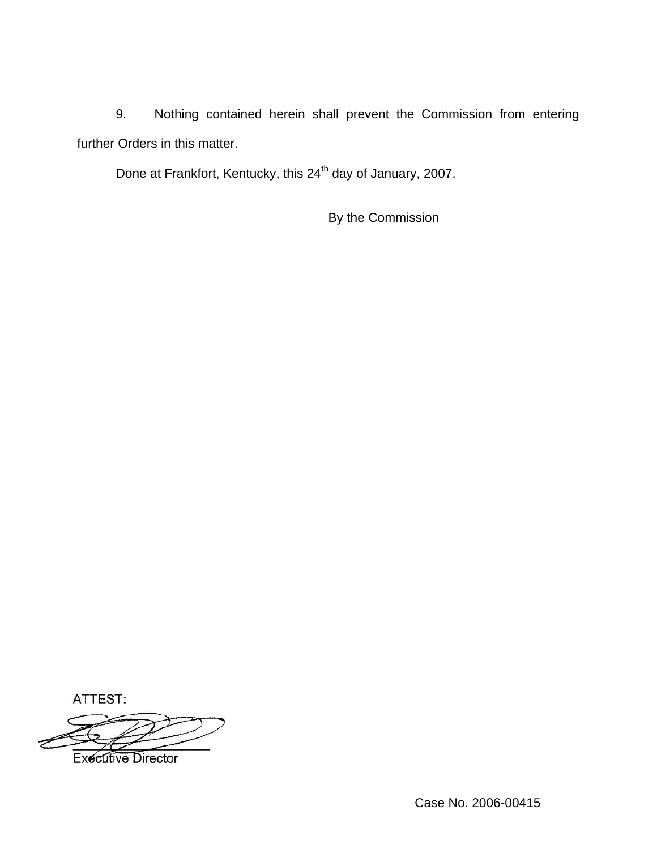9. Nothing contained herein shall prevent the Commission from entering further Orders in this matter.

Done at Frankfort, Kentucky, this 24<sup>th</sup> day of January, 2007.

By the Commission

ATTEST: